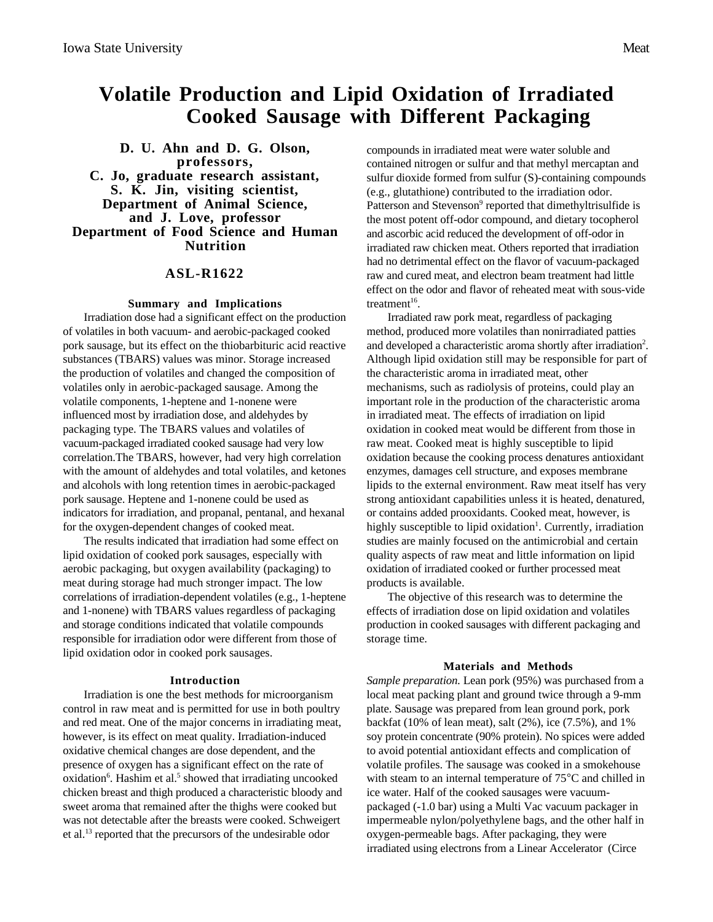# **Volatile Production and Lipid Oxidation of Irradiated Cooked Sausage with Different Packaging**

**D. U. Ahn and D. G. Olson, professors, C. Jo, graduate research assistant, S. K. Jin, visiting scientist, Department of Animal Science, and J. Love, professor Department of Food Science and Human Nutrition**

# **ASL-R1622**

### **Summary and Implications**

Irradiation dose had a significant effect on the production of volatiles in both vacuum- and aerobic-packaged cooked pork sausage, but its effect on the thiobarbituric acid reactive substances (TBARS) values was minor. Storage increased the production of volatiles and changed the composition of volatiles only in aerobic-packaged sausage. Among the volatile components, 1-heptene and 1-nonene were influenced most by irradiation dose, and aldehydes by packaging type. The TBARS values and volatiles of vacuum-packaged irradiated cooked sausage had very low correlation.The TBARS, however, had very high correlation with the amount of aldehydes and total volatiles, and ketones and alcohols with long retention times in aerobic-packaged pork sausage. Heptene and 1-nonene could be used as indicators for irradiation, and propanal, pentanal, and hexanal for the oxygen-dependent changes of cooked meat.

The results indicated that irradiation had some effect on lipid oxidation of cooked pork sausages, especially with aerobic packaging, but oxygen availability (packaging) to meat during storage had much stronger impact. The low correlations of irradiation-dependent volatiles (e.g., 1-heptene and 1-nonene) with TBARS values regardless of packaging and storage conditions indicated that volatile compounds responsible for irradiation odor were different from those of lipid oxidation odor in cooked pork sausages.

#### **Introduction**

Irradiation is one the best methods for microorganism control in raw meat and is permitted for use in both poultry and red meat. One of the major concerns in irradiating meat, however, is its effect on meat quality. Irradiation-induced oxidative chemical changes are dose dependent, and the presence of oxygen has a significant effect on the rate of oxidation<sup>6</sup>. Hashim et al.<sup>5</sup> showed that irradiating uncooked chicken breast and thigh produced a characteristic bloody and sweet aroma that remained after the thighs were cooked but was not detectable after the breasts were cooked. Schweigert et al.13 reported that the precursors of the undesirable odor

compounds in irradiated meat were water soluble and contained nitrogen or sulfur and that methyl mercaptan and sulfur dioxide formed from sulfur (S)-containing compounds (e.g., glutathione) contributed to the irradiation odor. Patterson and Stevenson<sup>9</sup> reported that dimethyltrisulfide is the most potent off-odor compound, and dietary tocopherol and ascorbic acid reduced the development of off-odor in irradiated raw chicken meat. Others reported that irradiation had no detrimental effect on the flavor of vacuum-packaged raw and cured meat, and electron beam treatment had little effect on the odor and flavor of reheated meat with sous-vide treatment<sup>16</sup>.

Irradiated raw pork meat, regardless of packaging method, produced more volatiles than nonirradiated patties and developed a characteristic aroma shortly after irradiation<sup>2</sup>. Although lipid oxidation still may be responsible for part of the characteristic aroma in irradiated meat, other mechanisms, such as radiolysis of proteins, could play an important role in the production of the characteristic aroma in irradiated meat. The effects of irradiation on lipid oxidation in cooked meat would be different from those in raw meat. Cooked meat is highly susceptible to lipid oxidation because the cooking process denatures antioxidant enzymes, damages cell structure, and exposes membrane lipids to the external environment. Raw meat itself has very strong antioxidant capabilities unless it is heated, denatured, or contains added prooxidants. Cooked meat, however, is highly susceptible to lipid oxidation<sup>1</sup>. Currently, irradiation studies are mainly focused on the antimicrobial and certain quality aspects of raw meat and little information on lipid oxidation of irradiated cooked or further processed meat products is available.

The objective of this research was to determine the effects of irradiation dose on lipid oxidation and volatiles production in cooked sausages with different packaging and storage time.

#### **Materials and Methods**

*Sample preparation.* Lean pork (95%) was purchased from a local meat packing plant and ground twice through a 9-mm plate. Sausage was prepared from lean ground pork, pork backfat (10% of lean meat), salt (2%), ice (7.5%), and 1% soy protein concentrate (90% protein). No spices were added to avoid potential antioxidant effects and complication of volatile profiles. The sausage was cooked in a smokehouse with steam to an internal temperature of 75°C and chilled in ice water. Half of the cooked sausages were vacuumpackaged (-1.0 bar) using a Multi Vac vacuum packager in impermeable nylon/polyethylene bags, and the other half in oxygen-permeable bags. After packaging, they were irradiated using electrons from a Linear Accelerator (Circe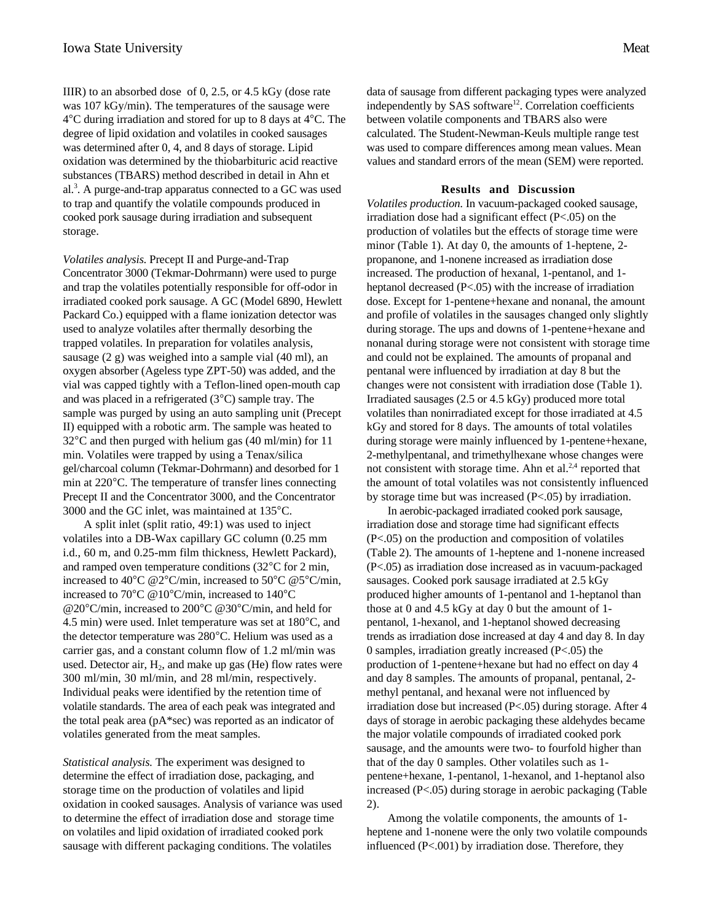IIIR) to an absorbed dose of 0, 2.5, or 4.5 kGy (dose rate was 107 kGy/min). The temperatures of the sausage were 4°C during irradiation and stored for up to 8 days at 4°C. The degree of lipid oxidation and volatiles in cooked sausages was determined after 0, 4, and 8 days of storage. Lipid oxidation was determined by the thiobarbituric acid reactive substances (TBARS) method described in detail in Ahn et al.<sup>3</sup>. A purge-and-trap apparatus connected to a GC was used to trap and quantify the volatile compounds produced in cooked pork sausage during irradiation and subsequent storage.

*Volatiles analysis.* Precept II and Purge-and-Trap Concentrator 3000 (Tekmar-Dohrmann) were used to purge and trap the volatiles potentially responsible for off-odor in irradiated cooked pork sausage. A GC (Model 6890, Hewlett Packard Co.) equipped with a flame ionization detector was used to analyze volatiles after thermally desorbing the trapped volatiles. In preparation for volatiles analysis, sausage (2 g) was weighed into a sample vial (40 ml), an oxygen absorber (Ageless type ZPT-50) was added, and the vial was capped tightly with a Teflon-lined open-mouth cap and was placed in a refrigerated (3°C) sample tray. The sample was purged by using an auto sampling unit (Precept II) equipped with a robotic arm. The sample was heated to 32°C and then purged with helium gas (40 ml/min) for 11 min. Volatiles were trapped by using a Tenax/silica gel/charcoal column (Tekmar-Dohrmann) and desorbed for 1 min at 220°C. The temperature of transfer lines connecting Precept II and the Concentrator 3000, and the Concentrator 3000 and the GC inlet, was maintained at 135°C.

A split inlet (split ratio, 49:1) was used to inject volatiles into a DB-Wax capillary GC column (0.25 mm i.d., 60 m, and 0.25-mm film thickness, Hewlett Packard), and ramped oven temperature conditions (32°C for 2 min, increased to 40°C @2°C/min, increased to 50°C @5°C/min, increased to 70°C @10°C/min, increased to 140°C @20°C/min, increased to 200°C @30°C/min, and held for 4.5 min) were used. Inlet temperature was set at 180°C, and the detector temperature was 280°C. Helium was used as a carrier gas, and a constant column flow of 1.2 ml/min was used. Detector air,  $H<sub>2</sub>$ , and make up gas (He) flow rates were 300 ml/min, 30 ml/min, and 28 ml/min, respectively. Individual peaks were identified by the retention time of volatile standards. The area of each peak was integrated and the total peak area (pA\*sec) was reported as an indicator of volatiles generated from the meat samples.

*Statistical analysis.* The experiment was designed to determine the effect of irradiation dose, packaging, and storage time on the production of volatiles and lipid oxidation in cooked sausages. Analysis of variance was used to determine the effect of irradiation dose and storage time on volatiles and lipid oxidation of irradiated cooked pork sausage with different packaging conditions. The volatiles

data of sausage from different packaging types were analyzed independently by SAS software<sup>12</sup>. Correlation coefficients between volatile components and TBARS also were calculated. The Student-Newman-Keuls multiple range test was used to compare differences among mean values. Mean values and standard errors of the mean (SEM) were reported.

## **Results and Discussion**

*Volatiles production.* In vacuum-packaged cooked sausage, irradiation dose had a significant effect (P<.05) on the production of volatiles but the effects of storage time were minor (Table 1). At day 0, the amounts of 1-heptene, 2 propanone, and 1-nonene increased as irradiation dose increased. The production of hexanal, 1-pentanol, and 1 heptanol decreased (P<.05) with the increase of irradiation dose. Except for 1-pentene+hexane and nonanal, the amount and profile of volatiles in the sausages changed only slightly during storage. The ups and downs of 1-pentene+hexane and nonanal during storage were not consistent with storage time and could not be explained. The amounts of propanal and pentanal were influenced by irradiation at day 8 but the changes were not consistent with irradiation dose (Table 1). Irradiated sausages (2.5 or 4.5 kGy) produced more total volatiles than nonirradiated except for those irradiated at 4.5 kGy and stored for 8 days. The amounts of total volatiles during storage were mainly influenced by 1-pentene+hexane, 2-methylpentanal, and trimethylhexane whose changes were not consistent with storage time. Ahn et al. $2,4$  reported that the amount of total volatiles was not consistently influenced by storage time but was increased (P<.05) by irradiation.

In aerobic-packaged irradiated cooked pork sausage, irradiation dose and storage time had significant effects (P<.05) on the production and composition of volatiles (Table 2). The amounts of 1-heptene and 1-nonene increased (P<.05) as irradiation dose increased as in vacuum-packaged sausages. Cooked pork sausage irradiated at 2.5 kGy produced higher amounts of 1-pentanol and 1-heptanol than those at 0 and 4.5 kGy at day 0 but the amount of 1 pentanol, 1-hexanol, and 1-heptanol showed decreasing trends as irradiation dose increased at day 4 and day 8. In day 0 samples, irradiation greatly increased (P<.05) the production of 1-pentene+hexane but had no effect on day 4 and day 8 samples. The amounts of propanal, pentanal, 2 methyl pentanal, and hexanal were not influenced by irradiation dose but increased (P<.05) during storage. After 4 days of storage in aerobic packaging these aldehydes became the major volatile compounds of irradiated cooked pork sausage, and the amounts were two- to fourfold higher than that of the day 0 samples. Other volatiles such as 1 pentene+hexane, 1-pentanol, 1-hexanol, and 1-heptanol also increased (P<.05) during storage in aerobic packaging (Table 2).

Among the volatile components, the amounts of 1 heptene and 1-nonene were the only two volatile compounds influenced (P<.001) by irradiation dose. Therefore, they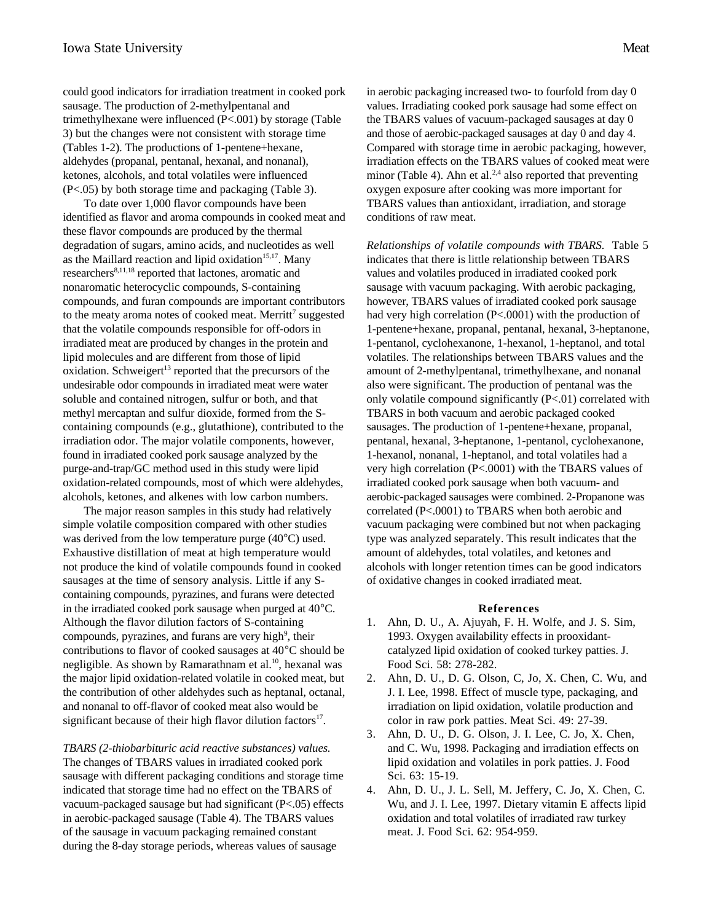could good indicators for irradiation treatment in cooked pork sausage. The production of 2-methylpentanal and trimethylhexane were influenced (P<.001) by storage (Table 3) but the changes were not consistent with storage time (Tables 1-2). The productions of 1-pentene+hexane, aldehydes (propanal, pentanal, hexanal, and nonanal), ketones, alcohols, and total volatiles were influenced (P<.05) by both storage time and packaging (Table 3).

To date over 1,000 flavor compounds have been identified as flavor and aroma compounds in cooked meat and these flavor compounds are produced by the thermal degradation of sugars, amino acids, and nucleotides as well as the Maillard reaction and lipid oxidation<sup>15,17</sup>. Many researchers<sup>8,11,18</sup> reported that lactones, aromatic and nonaromatic heterocyclic compounds, S-containing compounds, and furan compounds are important contributors to the meaty aroma notes of cooked meat. Merritt<sup>7</sup> suggested that the volatile compounds responsible for off-odors in irradiated meat are produced by changes in the protein and lipid molecules and are different from those of lipid oxidation. Schweigert<sup>13</sup> reported that the precursors of the undesirable odor compounds in irradiated meat were water soluble and contained nitrogen, sulfur or both, and that methyl mercaptan and sulfur dioxide, formed from the Scontaining compounds (e.g., glutathione), contributed to the irradiation odor. The major volatile components, however, found in irradiated cooked pork sausage analyzed by the purge-and-trap/GC method used in this study were lipid oxidation-related compounds, most of which were aldehydes, alcohols, ketones, and alkenes with low carbon numbers.

The major reason samples in this study had relatively simple volatile composition compared with other studies was derived from the low temperature purge (40°C) used. Exhaustive distillation of meat at high temperature would not produce the kind of volatile compounds found in cooked sausages at the time of sensory analysis. Little if any Scontaining compounds, pyrazines, and furans were detected in the irradiated cooked pork sausage when purged at 40°C. Although the flavor dilution factors of S-containing compounds, pyrazines, and furans are very high<sup>9</sup>, their contributions to flavor of cooked sausages at 40°C should be negligible. As shown by Ramarathnam et al.<sup>10</sup>, hexanal was the major lipid oxidation-related volatile in cooked meat, but the contribution of other aldehydes such as heptanal, octanal, and nonanal to off-flavor of cooked meat also would be significant because of their high flavor dilution factors $17$ .

*TBARS (2-thiobarbituric acid reactive substances) values.* The changes of TBARS values in irradiated cooked pork sausage with different packaging conditions and storage time indicated that storage time had no effect on the TBARS of vacuum-packaged sausage but had significant (P<.05) effects in aerobic-packaged sausage (Table 4). The TBARS values of the sausage in vacuum packaging remained constant during the 8-day storage periods, whereas values of sausage

in aerobic packaging increased two- to fourfold from day 0 values. Irradiating cooked pork sausage had some effect on the TBARS values of vacuum-packaged sausages at day 0 and those of aerobic-packaged sausages at day 0 and day 4. Compared with storage time in aerobic packaging, however, irradiation effects on the TBARS values of cooked meat were minor (Table 4). Ahn et al. $^{2,4}$  also reported that preventing oxygen exposure after cooking was more important for TBARS values than antioxidant, irradiation, and storage conditions of raw meat.

*Relationships of volatile compounds with TBARS.* Table 5 indicates that there is little relationship between TBARS values and volatiles produced in irradiated cooked pork sausage with vacuum packaging. With aerobic packaging, however, TBARS values of irradiated cooked pork sausage had very high correlation (P<.0001) with the production of 1-pentene+hexane, propanal, pentanal, hexanal, 3-heptanone, 1-pentanol, cyclohexanone, 1-hexanol, 1-heptanol, and total volatiles. The relationships between TBARS values and the amount of 2-methylpentanal, trimethylhexane, and nonanal also were significant. The production of pentanal was the only volatile compound significantly  $(P<.01)$  correlated with TBARS in both vacuum and aerobic packaged cooked sausages. The production of 1-pentene+hexane, propanal, pentanal, hexanal, 3-heptanone, 1-pentanol, cyclohexanone, 1-hexanol, nonanal, 1-heptanol, and total volatiles had a very high correlation (P<.0001) with the TBARS values of irradiated cooked pork sausage when both vacuum- and aerobic-packaged sausages were combined. 2-Propanone was correlated (P<.0001) to TBARS when both aerobic and vacuum packaging were combined but not when packaging type was analyzed separately. This result indicates that the amount of aldehydes, total volatiles, and ketones and alcohols with longer retention times can be good indicators of oxidative changes in cooked irradiated meat.

## **References**

- 1. Ahn, D. U., A. Ajuyah, F. H. Wolfe, and J. S. Sim, 1993. Oxygen availability effects in prooxidantcatalyzed lipid oxidation of cooked turkey patties. J. Food Sci. 58: 278-282.
- 2. Ahn, D. U., D. G. Olson, C, Jo, X. Chen, C. Wu, and J. I. Lee, 1998. Effect of muscle type, packaging, and irradiation on lipid oxidation, volatile production and color in raw pork patties. Meat Sci. 49: 27-39.
- 3. Ahn, D. U., D. G. Olson, J. I. Lee, C. Jo, X. Chen, and C. Wu, 1998. Packaging and irradiation effects on lipid oxidation and volatiles in pork patties. J. Food Sci. 63: 15-19.
- 4. Ahn, D. U., J. L. Sell, M. Jeffery, C. Jo, X. Chen, C. Wu, and J. I. Lee, 1997. Dietary vitamin E affects lipid oxidation and total volatiles of irradiated raw turkey meat. J. Food Sci. 62: 954-959.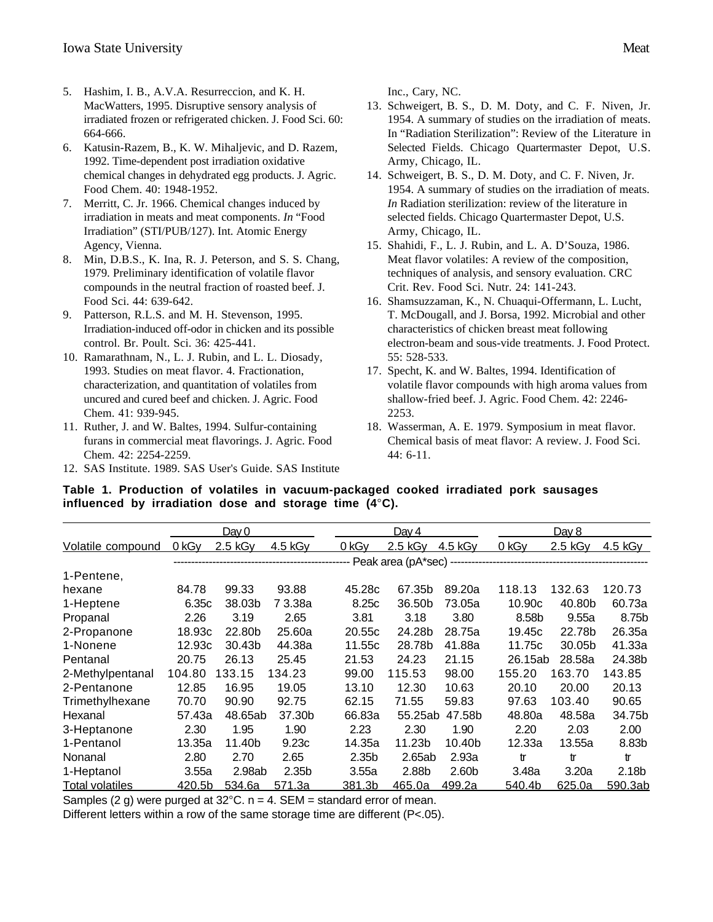- 5. Hashim, I. B., A.V.A. Resurreccion, and K. H. MacWatters, 1995. Disruptive sensory analysis of irradiated frozen or refrigerated chicken. J. Food Sci. 60: 664-666.
- 6. Katusin-Razem, B., K. W. Mihaljevic, and D. Razem, 1992. Time-dependent post irradiation oxidative chemical changes in dehydrated egg products. J. Agric. Food Chem. 40: 1948-1952.
- 7. Merritt, C. Jr. 1966. Chemical changes induced by irradiation in meats and meat components. *In* "Food Irradiation" (STI/PUB/127). Int. Atomic Energy Agency, Vienna.
- 8. Min, D.B.S., K. Ina, R. J. Peterson, and S. S. Chang, 1979. Preliminary identification of volatile flavor compounds in the neutral fraction of roasted beef. J. Food Sci. 44: 639-642.
- 9. Patterson, R.L.S. and M. H. Stevenson, 1995. Irradiation-induced off-odor in chicken and its possible control. Br. Poult. Sci. 36: 425-441.
- 10. Ramarathnam, N., L. J. Rubin, and L. L. Diosady, 1993. Studies on meat flavor. 4. Fractionation, characterization, and quantitation of volatiles from uncured and cured beef and chicken. J. Agric. Food Chem. 41: 939-945.
- 11. Ruther, J. and W. Baltes, 1994. Sulfur-containing furans in commercial meat flavorings. J. Agric. Food Chem. 42: 2254-2259.
- 12. SAS Institute. 1989. SAS User's Guide. SAS Institute

Inc., Cary, NC.

- 13. Schweigert, B. S., D. M. Doty, and C. F. Niven, Jr. 1954. A summary of studies on the irradiation of meats. In "Radiation Sterilization": Review of the Literature in Selected Fields. Chicago Quartermaster Depot, U.S. Army, Chicago, IL.
- 14. Schweigert, B. S., D. M. Doty, and C. F. Niven, Jr. 1954. A summary of studies on the irradiation of meats. *In* Radiation sterilization: review of the literature in selected fields. Chicago Quartermaster Depot, U.S. Army, Chicago, IL.
- 15. Shahidi, F., L. J. Rubin, and L. A. D'Souza, 1986. Meat flavor volatiles: A review of the composition, techniques of analysis, and sensory evaluation. CRC Crit. Rev. Food Sci. Nutr. 24: 141-243.
- 16. Shamsuzzaman, K., N. Chuaqui-Offermann, L. Lucht, T. McDougall, and J. Borsa, 1992. Microbial and other characteristics of chicken breast meat following electron-beam and sous-vide treatments. J. Food Protect. 55: 528-533.
- 17. Specht, K. and W. Baltes, 1994. Identification of volatile flavor compounds with high aroma values from shallow-fried beef. J. Agric. Food Chem. 42: 2246- 2253.
- 18. Wasserman, A. E. 1979. Symposium in meat flavor. Chemical basis of meat flavor: A review. J. Food Sci. 44: 6-11.
- **Table 1. Production of volatiles in vacuum-packaged cooked irradiated pork sausages influenced by irradiation dose and storage time (4**°**C).**

|                   |        | Day $0$   |                   |                                                                                   | Day $4$   |         |         | Day 8     |           |
|-------------------|--------|-----------|-------------------|-----------------------------------------------------------------------------------|-----------|---------|---------|-----------|-----------|
| Volatile compound | 0 kGy  | $2.5$ kGy | 4.5 kGy           | 0 kGy                                                                             | $2.5$ kGy | 4.5 kGy | 0 kGy   | $2.5$ kGy | $4.5$ kGy |
|                   |        |           |                   | ----------------------------------    Peak area (pA*sec) ------------------------ |           |         |         |           |           |
| 1-Pentene,        |        |           |                   |                                                                                   |           |         |         |           |           |
| hexane            | 84.78  | 99.33     | 93.88             | 45.28c                                                                            | 67.35b    | 89.20a  | 118.13  | 132.63    | 120.73    |
| 1-Heptene         | 6.35c  | 38.03b    | 73.38a            | 8.25c                                                                             | 36.50b    | 73.05a  | 10.90c  | 40.80b    | 60.73a    |
| Propanal          | 2.26   | 3.19      | 2.65              | 3.81                                                                              | 3.18      | 3.80    | 8.58b   | 9.55a     | 8.75b     |
| 2-Propanone       | 18.93c | 22.80b    | 25.60a            | 20.55c                                                                            | 24.28b    | 28.75a  | 19.45c  | 22.78b    | 26.35a    |
| 1-Nonene          | 12.93c | 30.43b    | 44.38a            | 11.55c                                                                            | 28.78b    | 41.88a  | 11.75c  | 30.05b    | 41.33a    |
| Pentanal          | 20.75  | 26.13     | 25.45             | 21.53                                                                             | 24.23     | 21.15   | 26.15ab | 28.58a    | 24.38b    |
| 2-Methylpentanal  | 104.80 | 133.15    | 134.23            | 99.00                                                                             | 115.53    | 98.00   | 155.20  | 163.70    | 143.85    |
| 2-Pentanone       | 12.85  | 16.95     | 19.05             | 13.10                                                                             | 12.30     | 10.63   | 20.10   | 20.00     | 20.13     |
| Trimethylhexane   | 70.70  | 90.90     | 92.75             | 62.15                                                                             | 71.55     | 59.83   | 97.63   | 103.40    | 90.65     |
| Hexanal           | 57.43a | 48.65ab   | 37.30b            | 66.83a                                                                            | 55.25ab   | 47.58b  | 48.80a  | 48.58a    | 34.75b    |
| 3-Heptanone       | 2.30   | 1.95      | 1.90              | 2.23                                                                              | 2.30      | 1.90    | 2.20    | 2.03      | 2.00      |
| 1-Pentanol        | 13.35a | 11.40b    | 9.23c             | 14.35a                                                                            | 11.23b    | 10.40b  | 12.33a  | 13.55a    | 8.83b     |
| Nonanal           | 2.80   | 2.70      | 2.65              | 2.35b                                                                             | 2.65ab    | 2.93a   | tr      | tr        | tr        |
| 1-Heptanol        | 3.55a  | 2.98ab    | 2.35 <sub>b</sub> | 3.55a                                                                             | 2.88b     | 2.60b   | 3.48a   | 3.20a     | 2.18b     |
| Total volatiles   | 420.5b | 534.6a    | 571.3a            | 381.3b                                                                            | 465.0a    | 499.2a  | 540.4b  | 625.0a    | 590.3ab   |

Samples (2 g) were purged at  $32^{\circ}$ C. n = 4. SEM = standard error of mean.

Different letters within a row of the same storage time are different (P<.05).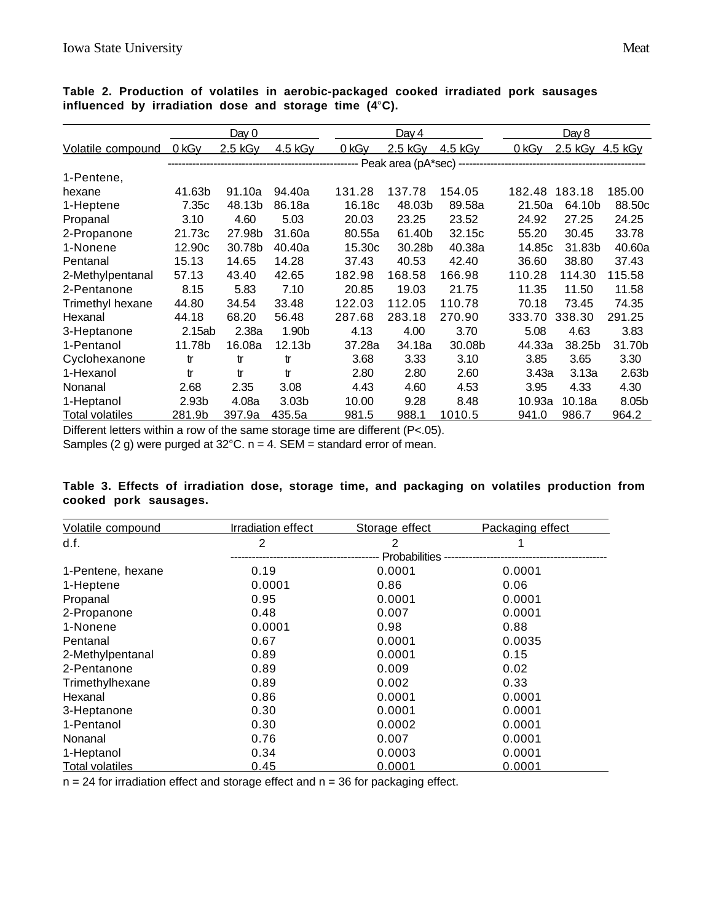|                          |        | Day 0     |                   |        | Day $4$ |         |        | <u>Day 8</u>    |                   |
|--------------------------|--------|-----------|-------------------|--------|---------|---------|--------|-----------------|-------------------|
| <b>Volatile compound</b> | 0 kGy  | $2.5$ kGy | 4.5 kGy           | 0 kGy  | 2.5 kGy | 4.5 kGy | 0 kGy  | 2.5 kGy 4.5 kGy |                   |
|                          |        |           |                   |        |         |         |        |                 |                   |
| 1-Pentene,               |        |           |                   |        |         |         |        |                 |                   |
| hexane                   | 41.63b | 91.10a    | 94.40a            | 131.28 | 137.78  | 154.05  | 182.48 | 183.18          | 185.00            |
| 1-Heptene                | 7.35c  | 48.13b    | 86.18a            | 16.18c | 48.03b  | 89.58a  | 21.50a | 64.10b          | 88.50c            |
| Propanal                 | 3.10   | 4.60      | 5.03              | 20.03  | 23.25   | 23.52   | 24.92  | 27.25           | 24.25             |
| 2-Propanone              | 21.73c | 27.98b    | 31.60a            | 80.55a | 61.40b  | 32.15c  | 55.20  | 30.45           | 33.78             |
| 1-Nonene                 | 12.90c | 30.78b    | 40.40a            | 15.30c | 30.28b  | 40.38a  | 14.85c | 31.83b          | 40.60a            |
| Pentanal                 | 15.13  | 14.65     | 14.28             | 37.43  | 40.53   | 42.40   | 36.60  | 38.80           | 37.43             |
| 2-Methylpentanal         | 57.13  | 43.40     | 42.65             | 182.98 | 168.58  | 166.98  | 110.28 | 114.30          | 115.58            |
| 2-Pentanone              | 8.15   | 5.83      | 7.10              | 20.85  | 19.03   | 21.75   | 11.35  | 11.50           | 11.58             |
| Trimethyl hexane         | 44.80  | 34.54     | 33.48             | 122.03 | 112.05  | 110.78  | 70.18  | 73.45           | 74.35             |
| Hexanal                  | 44.18  | 68.20     | 56.48             | 287.68 | 283.18  | 270.90  | 333.70 | 338.30          | 291.25            |
| 3-Heptanone              | 2.15ab | 2.38a     | 1.90 <sub>b</sub> | 4.13   | 4.00    | 3.70    | 5.08   | 4.63            | 3.83              |
| 1-Pentanol               | 11.78b | 16.08a    | 12.13b            | 37.28a | 34.18a  | 30.08b  | 44.33a | 38.25b          | 31.70b            |
| Cyclohexanone            | tr     | tr        | tr                | 3.68   | 3.33    | 3.10    | 3.85   | 3.65            | 3.30              |
| 1-Hexanol                | tr     | tr        | tr                | 2.80   | 2.80    | 2.60    | 3.43a  | 3.13a           | 2.63 <sub>b</sub> |
| Nonanal                  | 2.68   | 2.35      | 3.08              | 4.43   | 4.60    | 4.53    | 3.95   | 4.33            | 4.30              |
| 1-Heptanol               | 2.93b  | 4.08a     | 3.03 <sub>b</sub> | 10.00  | 9.28    | 8.48    | 10.93a | 10.18a          | 8.05b             |
| Total volatiles          | 281.9b | 397.9a    | 435.5a            | 981.5  | 988.1   | 1010.5  | 941.0  | 986.7           | 964.2             |

**Table 2. Production of volatiles in aerobic-packaged cooked irradiated pork sausages influenced by irradiation dose and storage time (4**°**C).**

Different letters within a row of the same storage time are different (P<.05).

Samples (2 g) were purged at  $32^{\circ}$ C. n = 4. SEM = standard error of mean.

# **Table 3. Effects of irradiation dose, storage time, and packaging on volatiles production from cooked pork sausages.**

| Volatile compound      | <b>Irradiation effect</b> | Storage effect | Packaging effect |
|------------------------|---------------------------|----------------|------------------|
| d.f.                   | $\overline{2}$            | 2              |                  |
|                        |                           | Probabilities  |                  |
| 1-Pentene, hexane      | 0.19                      | 0.0001         | 0.0001           |
| 1-Heptene              | 0.0001                    | 0.86           | 0.06             |
| Propanal               | 0.95                      | 0.0001         | 0.0001           |
| 2-Propanone            | 0.48                      | 0.007          | 0.0001           |
| 1-Nonene               | 0.0001                    | 0.98           | 0.88             |
| Pentanal               | 0.67                      | 0.0001         | 0.0035           |
| 2-Methylpentanal       | 0.89                      | 0.0001         | 0.15             |
| 2-Pentanone            | 0.89                      | 0.009          | 0.02             |
| Trimethylhexane        | 0.89                      | 0.002          | 0.33             |
| Hexanal                | 0.86                      | 0.0001         | 0.0001           |
| 3-Heptanone            | 0.30                      | 0.0001         | 0.0001           |
| 1-Pentanol             | 0.30                      | 0.0002         | 0.0001           |
| Nonanal                | 0.76                      | 0.007          | 0.0001           |
| 1-Heptanol             | 0.34                      | 0.0003         | 0.0001           |
| <b>Total volatiles</b> | 0.45                      | 0.0001         | 0.0001           |

 $n = 24$  for irradiation effect and storage effect and  $n = 36$  for packaging effect.